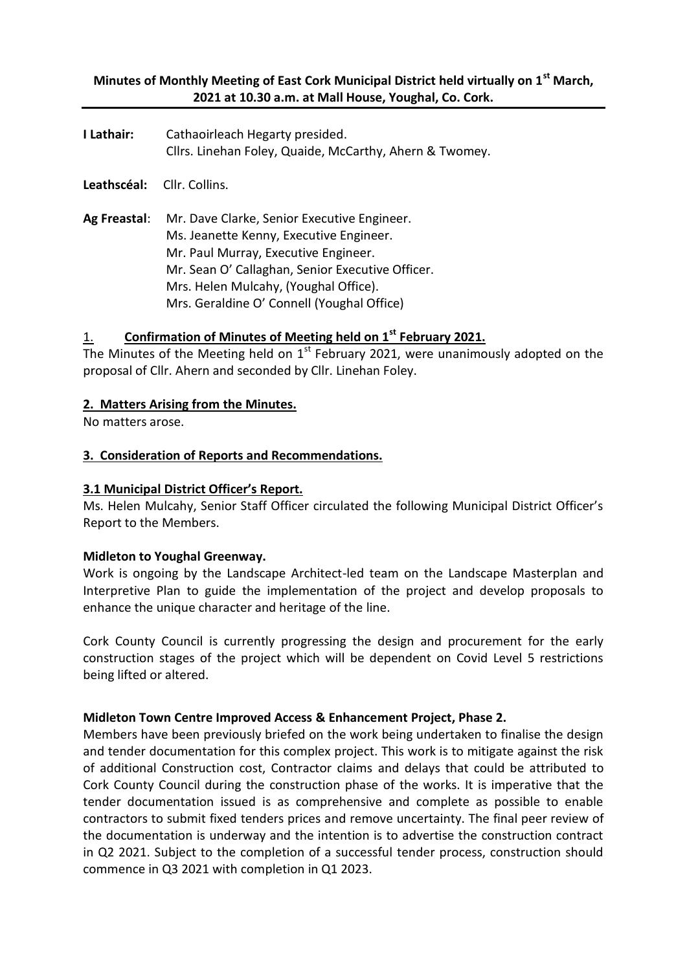## **Minutes of Monthly Meeting of East Cork Municipal District held virtually on 1st March, 2021 at 10.30 a.m. at Mall House, Youghal, Co. Cork.**

| I Lathair: | Cathaoirleach Hegarty presided.                         |  |  |  |  |  |
|------------|---------------------------------------------------------|--|--|--|--|--|
|            | Cllrs. Linehan Foley, Quaide, McCarthy, Ahern & Twomey. |  |  |  |  |  |

**Leathscéal:** Cllr. Collins.

**Ag Freastal**: Mr. Dave Clarke, Senior Executive Engineer. Ms. Jeanette Kenny, Executive Engineer. Mr. Paul Murray, Executive Engineer. Mr. Sean O' Callaghan, Senior Executive Officer. Mrs. Helen Mulcahy, (Youghal Office). Mrs. Geraldine O' Connell (Youghal Office)

## 1. **Confirmation of Minutes of Meeting held on 1st February 2021.**

The Minutes of the Meeting held on  $1<sup>st</sup>$  February 2021, were unanimously adopted on the proposal of Cllr. Ahern and seconded by Cllr. Linehan Foley.

## **2. Matters Arising from the Minutes.**

No matters arose.

## **3. Consideration of Reports and Recommendations.**

## **3.1 Municipal District Officer's Report.**

Ms. Helen Mulcahy, Senior Staff Officer circulated the following Municipal District Officer's Report to the Members.

#### **Midleton to Youghal Greenway.**

Work is ongoing by the Landscape Architect-led team on the Landscape Masterplan and Interpretive Plan to guide the implementation of the project and develop proposals to enhance the unique character and heritage of the line.

Cork County Council is currently progressing the design and procurement for the early construction stages of the project which will be dependent on Covid Level 5 restrictions being lifted or altered.

#### **Midleton Town Centre Improved Access & Enhancement Project, Phase 2.**

Members have been previously briefed on the work being undertaken to finalise the design and tender documentation for this complex project. This work is to mitigate against the risk of additional Construction cost, Contractor claims and delays that could be attributed to Cork County Council during the construction phase of the works. It is imperative that the tender documentation issued is as comprehensive and complete as possible to enable contractors to submit fixed tenders prices and remove uncertainty. The final peer review of the documentation is underway and the intention is to advertise the construction contract in Q2 2021. Subject to the completion of a successful tender process, construction should commence in Q3 2021 with completion in Q1 2023.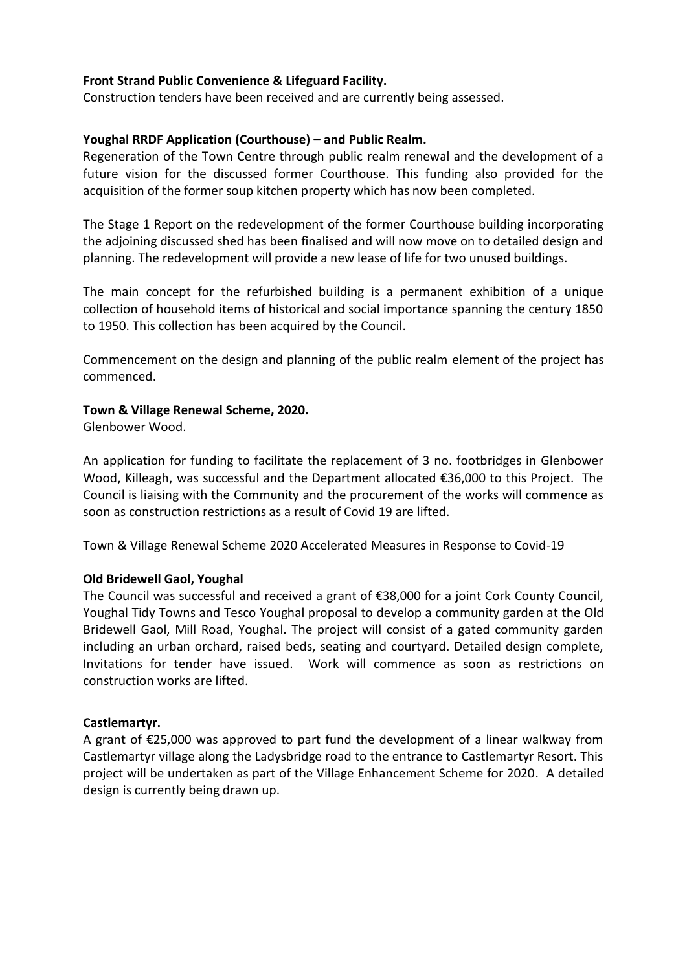## **Front Strand Public Convenience & Lifeguard Facility.**

Construction tenders have been received and are currently being assessed.

## **Youghal RRDF Application (Courthouse) – and Public Realm.**

Regeneration of the Town Centre through public realm renewal and the development of a future vision for the discussed former Courthouse. This funding also provided for the acquisition of the former soup kitchen property which has now been completed.

The Stage 1 Report on the redevelopment of the former Courthouse building incorporating the adjoining discussed shed has been finalised and will now move on to detailed design and planning. The redevelopment will provide a new lease of life for two unused buildings.

The main concept for the refurbished building is a permanent exhibition of a unique collection of household items of historical and social importance spanning the century 1850 to 1950. This collection has been acquired by the Council.

Commencement on the design and planning of the public realm element of the project has commenced.

#### **Town & Village Renewal Scheme, 2020.**

Glenbower Wood.

An application for funding to facilitate the replacement of 3 no. footbridges in Glenbower Wood, Killeagh, was successful and the Department allocated €36,000 to this Project. The Council is liaising with the Community and the procurement of the works will commence as soon as construction restrictions as a result of Covid 19 are lifted.

Town & Village Renewal Scheme 2020 Accelerated Measures in Response to Covid-19

# **Old Bridewell Gaol, Youghal**

The Council was successful and received a grant of €38,000 for a joint Cork County Council, Youghal Tidy Towns and Tesco Youghal proposal to develop a community garden at the Old Bridewell Gaol, Mill Road, Youghal. The project will consist of a gated community garden including an urban orchard, raised beds, seating and courtyard. Detailed design complete, Invitations for tender have issued. Work will commence as soon as restrictions on construction works are lifted.

#### **Castlemartyr.**

A grant of €25,000 was approved to part fund the development of a linear walkway from Castlemartyr village along the Ladysbridge road to the entrance to Castlemartyr Resort. This project will be undertaken as part of the Village Enhancement Scheme for 2020. A detailed design is currently being drawn up.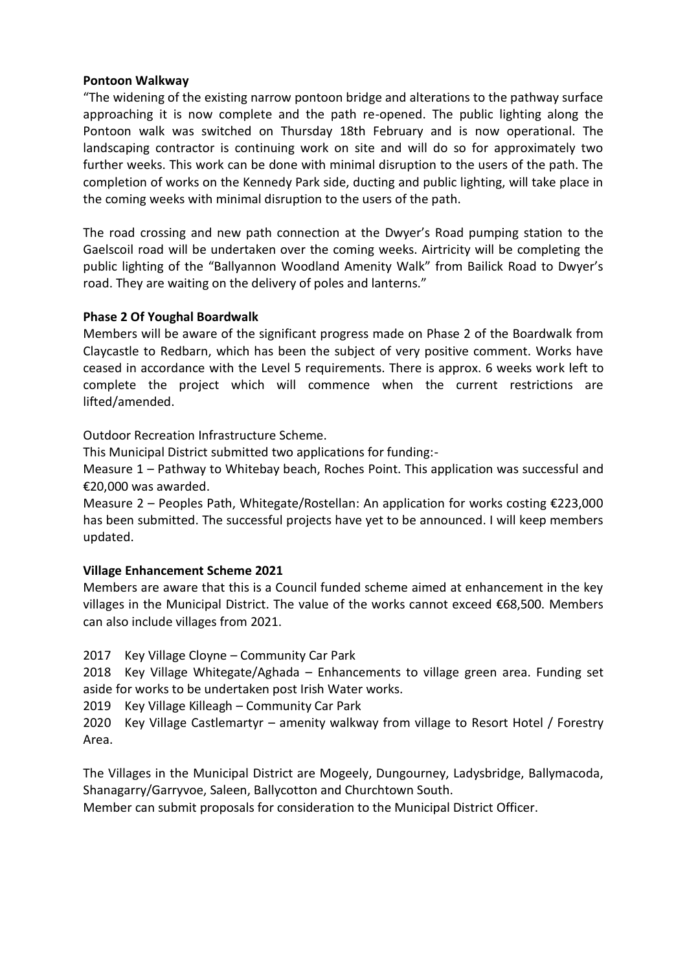#### **Pontoon Walkway**

"The widening of the existing narrow pontoon bridge and alterations to the pathway surface approaching it is now complete and the path re-opened. The public lighting along the Pontoon walk was switched on Thursday 18th February and is now operational. The landscaping contractor is continuing work on site and will do so for approximately two further weeks. This work can be done with minimal disruption to the users of the path. The completion of works on the Kennedy Park side, ducting and public lighting, will take place in the coming weeks with minimal disruption to the users of the path.

The road crossing and new path connection at the Dwyer's Road pumping station to the Gaelscoil road will be undertaken over the coming weeks. Airtricity will be completing the public lighting of the "Ballyannon Woodland Amenity Walk" from Bailick Road to Dwyer's road. They are waiting on the delivery of poles and lanterns."

## **Phase 2 Of Youghal Boardwalk**

Members will be aware of the significant progress made on Phase 2 of the Boardwalk from Claycastle to Redbarn, which has been the subject of very positive comment. Works have ceased in accordance with the Level 5 requirements. There is approx. 6 weeks work left to complete the project which will commence when the current restrictions are lifted/amended.

Outdoor Recreation Infrastructure Scheme.

This Municipal District submitted two applications for funding:-

Measure 1 – Pathway to Whitebay beach, Roches Point. This application was successful and €20,000 was awarded.

Measure 2 – Peoples Path, Whitegate/Rostellan: An application for works costing €223,000 has been submitted. The successful projects have yet to be announced. I will keep members updated.

# **Village Enhancement Scheme 2021**

Members are aware that this is a Council funded scheme aimed at enhancement in the key villages in the Municipal District. The value of the works cannot exceed  $$68,500$ . Members can also include villages from 2021.

2017 Key Village Cloyne – Community Car Park

2018 Key Village Whitegate/Aghada – Enhancements to village green area. Funding set aside for works to be undertaken post Irish Water works.

2019 Key Village Killeagh – Community Car Park

2020 Key Village Castlemartyr – amenity walkway from village to Resort Hotel / Forestry Area.

The Villages in the Municipal District are Mogeely, Dungourney, Ladysbridge, Ballymacoda, Shanagarry/Garryvoe, Saleen, Ballycotton and Churchtown South.

Member can submit proposals for consideration to the Municipal District Officer.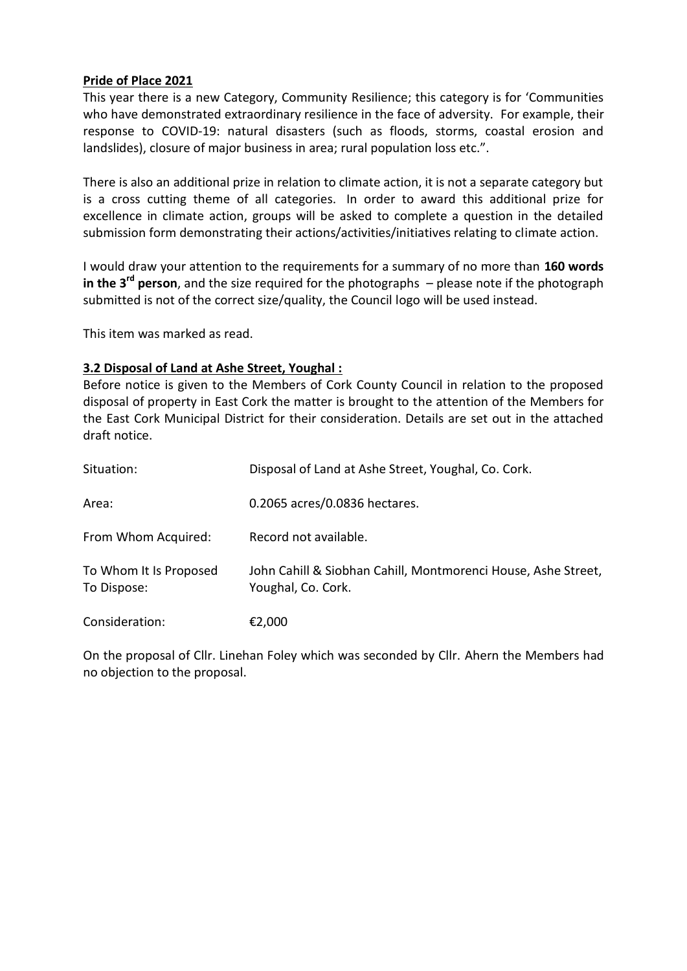## **Pride of Place 2021**

This year there is a new Category, Community Resilience; this category is for 'Communities who have demonstrated extraordinary resilience in the face of adversity. For example, their response to COVID-19: natural disasters (such as floods, storms, coastal erosion and landslides), closure of major business in area; rural population loss etc.".

There is also an additional prize in relation to climate action, it is not a separate category but is a cross cutting theme of all categories. In order to award this additional prize for excellence in climate action, groups will be asked to complete a question in the detailed submission form demonstrating their actions/activities/initiatives relating to climate action.

I would draw your attention to the requirements for a summary of no more than **160 words in the 3<sup>rd</sup> person**, and the size required for the photographs – please note if the photograph submitted is not of the correct size/quality, the Council logo will be used instead.

This item was marked as read.

## **3.2 Disposal of Land at Ashe Street, Youghal :**

Before notice is given to the Members of Cork County Council in relation to the proposed disposal of property in East Cork the matter is brought to the attention of the Members for the East Cork Municipal District for their consideration. Details are set out in the attached draft notice.

| Situation:                            | Disposal of Land at Ashe Street, Youghal, Co. Cork.                                 |
|---------------------------------------|-------------------------------------------------------------------------------------|
| Area:                                 | 0.2065 acres/0.0836 hectares.                                                       |
| From Whom Acquired:                   | Record not available.                                                               |
| To Whom It Is Proposed<br>To Dispose: | John Cahill & Siobhan Cahill, Montmorenci House, Ashe Street,<br>Youghal, Co. Cork. |
| Consideration:                        | €2,000                                                                              |

On the proposal of Cllr. Linehan Foley which was seconded by Cllr. Ahern the Members had no objection to the proposal.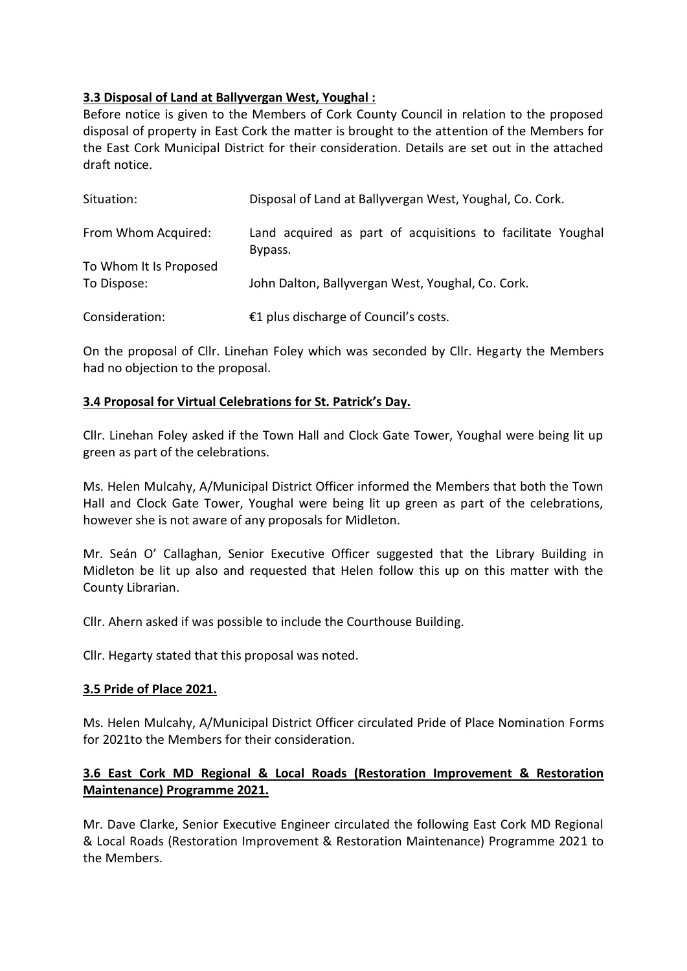# **3.3 Disposal of Land at Ballyvergan West, Youghal :**

Before notice is given to the Members of Cork County Council in relation to the proposed disposal of property in East Cork the matter is brought to the attention of the Members for the East Cork Municipal District for their consideration. Details are set out in the attached draft notice.

| Situation:                            | Disposal of Land at Ballyvergan West, Youghal, Co. Cork.               |  |  |  |  |
|---------------------------------------|------------------------------------------------------------------------|--|--|--|--|
| From Whom Acquired:                   | Land acquired as part of acquisitions to facilitate Youghal<br>Bypass. |  |  |  |  |
| To Whom It Is Proposed<br>To Dispose: | John Dalton, Ballyvergan West, Youghal, Co. Cork.                      |  |  |  |  |
| Consideration:                        | €1 plus discharge of Council's costs.                                  |  |  |  |  |

On the proposal of Cllr. Linehan Foley which was seconded by Cllr. Hegarty the Members had no objection to the proposal.

# **3.4 Proposal for Virtual Celebrations for St. Patrick's Day.**

Cllr. Linehan Foley asked if the Town Hall and Clock Gate Tower, Youghal were being lit up green as part of the celebrations.

Ms. Helen Mulcahy, A/Municipal District Officer informed the Members that both the Town Hall and Clock Gate Tower, Youghal were being lit up green as part of the celebrations, however she is not aware of any proposals for Midleton.

Mr. Seán O' Callaghan, Senior Executive Officer suggested that the Library Building in Midleton be lit up also and requested that Helen follow this up on this matter with the County Librarian.

Cllr. Ahern asked if was possible to include the Courthouse Building.

Cllr. Hegarty stated that this proposal was noted.

#### **3.5 Pride of Place 2021.**

Ms. Helen Mulcahy, A/Municipal District Officer circulated Pride of Place Nomination Forms for 2021to the Members for their consideration.

# **3.6 East Cork MD Regional & Local Roads (Restoration Improvement & Restoration Maintenance) Programme 2021.**

Mr. Dave Clarke, Senior Executive Engineer circulated the following East Cork MD Regional & Local Roads (Restoration Improvement & Restoration Maintenance) Programme 2021 to the Members.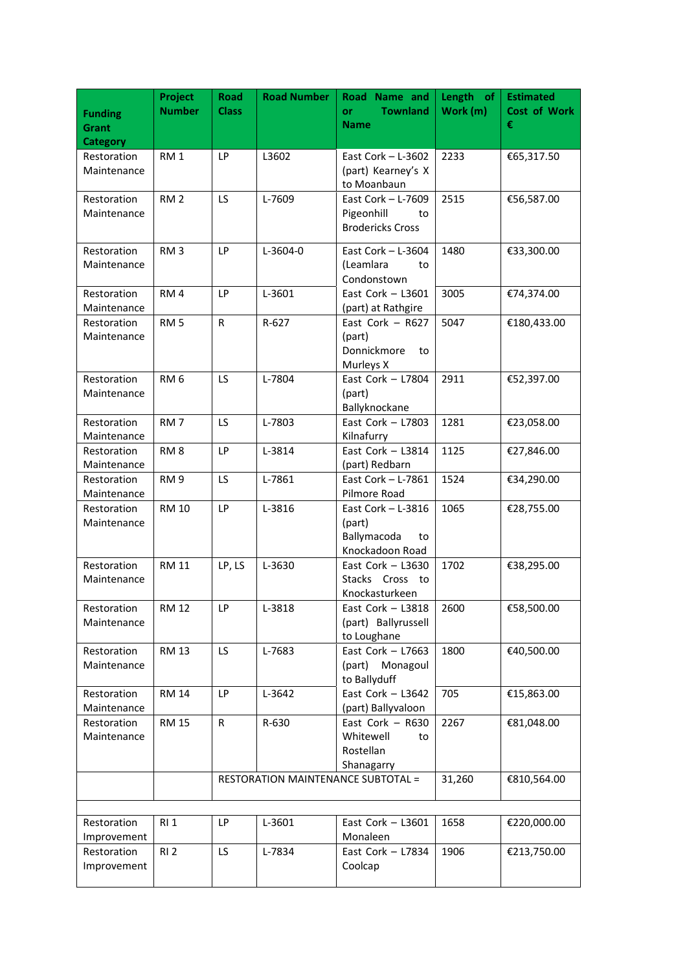| <b>Funding</b><br>Grant<br><b>Category</b> | Project<br><b>Number</b> | <b>Road</b><br><b>Class</b> | <b>Road Number</b>                        | Road Name and<br><b>Townland</b><br><b>or</b><br><b>Name</b>           | Length of<br>Work (m) | <b>Estimated</b><br><b>Cost of Work</b><br>€ |
|--------------------------------------------|--------------------------|-----------------------------|-------------------------------------------|------------------------------------------------------------------------|-----------------------|----------------------------------------------|
| Restoration<br>Maintenance                 | RM <sub>1</sub>          | LP                          | L3602                                     | East Cork $-$ L-3602<br>(part) Kearney's X<br>to Moanbaun              | 2233                  | €65,317.50                                   |
| Restoration<br>Maintenance                 | RM <sub>2</sub>          | LS.                         | L-7609                                    | East Cork - L-7609<br>Pigeonhill<br>to<br><b>Brodericks Cross</b>      | 2515                  | €56,587.00                                   |
| Restoration<br>Maintenance                 | RM <sub>3</sub>          | <b>LP</b>                   | L-3604-0                                  | East Cork $-$ L-3604<br>(Leamlara<br>to<br>Condonstown                 | 1480                  | €33,300.00                                   |
| Restoration<br>Maintenance                 | RM <sub>4</sub>          | LP                          | L-3601                                    | East Cork $-$ L3601<br>(part) at Rathgire                              | 3005                  | €74,374.00                                   |
| Restoration<br>Maintenance                 | RM <sub>5</sub>          | $\mathsf{R}$                | R-627                                     | East Cork $-$ R627<br>(part)<br>Donnickmore<br>to<br>Murleys X         | 5047                  | €180,433.00                                  |
| Restoration<br>Maintenance                 | RM <sub>6</sub>          | LS.                         | L-7804                                    | East Cork $-$ L7804<br>(part)<br>Ballyknockane                         | 2911                  | €52,397.00                                   |
| Restoration<br>Maintenance                 | RM <sub>7</sub>          | LS.                         | L-7803                                    | East Cork $-$ L7803<br>Kilnafurry                                      | 1281                  | €23,058.00                                   |
| Restoration<br>Maintenance                 | RM <sub>8</sub>          | LP                          | L-3814                                    | East Cork - L3814<br>(part) Redbarn                                    | 1125                  | €27,846.00                                   |
| Restoration<br>Maintenance                 | RM <sub>9</sub>          | LS                          | L-7861                                    | East Cork - L-7861<br>Pilmore Road                                     | 1524                  | €34,290.00                                   |
| Restoration<br>Maintenance                 | <b>RM 10</b>             | LP                          | L-3816                                    | East Cork $-$ L-3816<br>(part)<br>Ballymacoda<br>to<br>Knockadoon Road | 1065                  | €28,755.00                                   |
| Restoration<br>Maintenance                 | <b>RM 11</b>             | LP, LS                      | L-3630                                    | East Cork $-$ L3630<br>Stacks Cross to<br>Knockasturkeen               | 1702                  | €38,295.00                                   |
| Restoration<br>Maintenance                 | RM 12                    | LP.                         | L-3818                                    | East Cork – L3818<br>(part) Ballyrussell<br>to Loughane                | 2600                  | €58,500.00                                   |
| Restoration<br>Maintenance                 | <b>RM 13</b>             | LS.                         | L-7683                                    | East Cork $-$ L7663<br>(part)<br>Monagoul<br>to Ballyduff              | 1800                  | €40,500.00                                   |
| Restoration<br>Maintenance                 | <b>RM 14</b>             | LP                          | L-3642                                    | East Cork $-$ L3642<br>(part) Ballyvaloon                              | 705                   | €15,863.00                                   |
| Restoration<br>Maintenance                 | <b>RM 15</b>             | R                           | R-630                                     | East Cork $-$ R630<br>Whitewell<br>to<br>Rostellan<br>Shanagarry       | 2267                  | €81,048.00                                   |
|                                            |                          |                             | <b>RESTORATION MAINTENANCE SUBTOTAL =</b> |                                                                        |                       | €810,564.00                                  |
| Restoration<br>Improvement                 | <b>RI1</b>               | LP                          | L-3601                                    | East Cork $-$ L3601<br>Monaleen                                        | 1658                  | €220,000.00                                  |
| Restoration<br>Improvement                 | RI <sub>2</sub>          | LS.                         | L-7834                                    | East Cork - L7834<br>Coolcap                                           | 1906                  | €213,750.00                                  |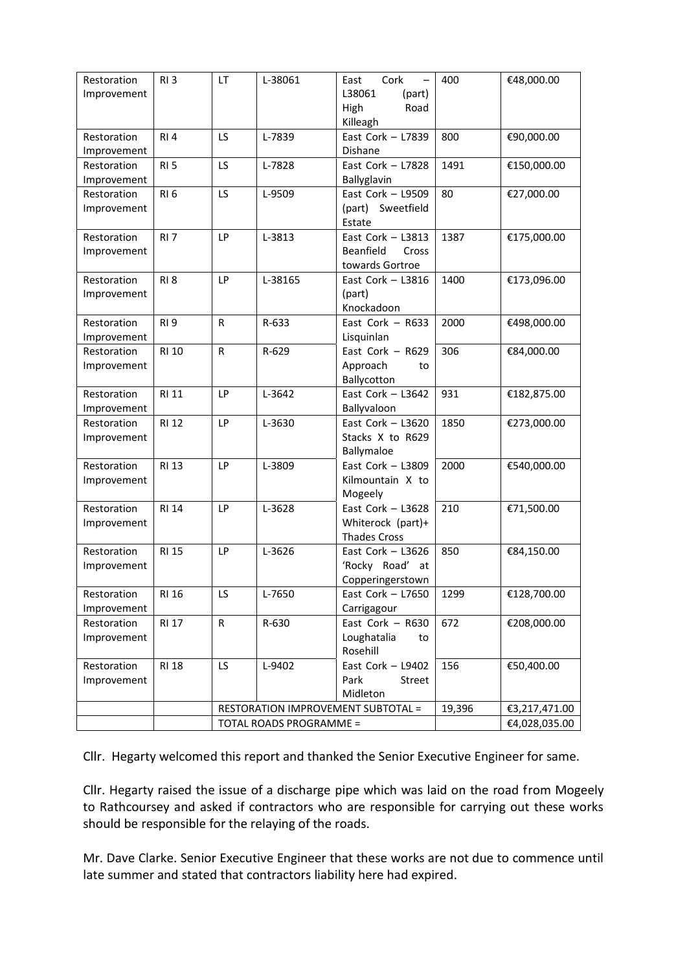| Restoration | RI <sub>3</sub> | LT                      | L-38061 | Cork<br>East                       | 400    | €48,000.00    |
|-------------|-----------------|-------------------------|---------|------------------------------------|--------|---------------|
| Improvement |                 |                         |         | L38061<br>(part)                   |        |               |
|             |                 |                         |         | High<br>Road                       |        |               |
|             |                 |                         |         | Killeagh                           |        |               |
| Restoration | RI4             | LS                      | L-7839  | East Cork $-$ L7839                | 800    | €90,000.00    |
| Improvement |                 |                         |         | Dishane                            |        |               |
| Restoration | RI <sub>5</sub> | LS                      | L-7828  | East Cork - L7828                  | 1491   | €150,000.00   |
| Improvement |                 |                         |         | Ballyglavin                        |        |               |
| Restoration | RI <sub>6</sub> | LS                      | L-9509  | East Cork $-$ L9509                | 80     | €27,000.00    |
| Improvement |                 |                         |         | (part) Sweetfield                  |        |               |
|             |                 |                         |         | Estate                             |        |               |
| Restoration | RI <sub>7</sub> | LP                      | L-3813  | East Cork - L3813                  | 1387   | €175,000.00   |
| Improvement |                 |                         |         | Beanfield<br>Cross                 |        |               |
|             |                 |                         |         | towards Gortroe                    |        |               |
| Restoration | RI <sub>8</sub> | LP                      | L-38165 | East Cork $-$ L3816                | 1400   | €173,096.00   |
| Improvement |                 |                         |         | (part)                             |        |               |
|             |                 |                         |         | Knockadoon                         |        |               |
| Restoration | RI <sub>9</sub> | $\mathsf{R}$            | R-633   | East Cork - R633                   | 2000   | €498,000.00   |
| Improvement |                 |                         |         | Lisquinlan                         |        |               |
| Restoration | <b>RI 10</b>    | $\mathsf{R}$            | R-629   | East Cork - R629                   | 306    | €84,000.00    |
| Improvement |                 |                         |         | Approach<br>to                     |        |               |
|             |                 |                         |         | Ballycotton                        |        |               |
| Restoration | <b>RI 11</b>    | LP                      | L-3642  | East Cork $-$ L3642                | 931    | €182,875.00   |
| Improvement |                 |                         |         | Ballyvaloon                        |        |               |
| Restoration | <b>RI 12</b>    | LP                      | L-3630  | East Cork $-$ L3620                | 1850   | €273,000.00   |
| Improvement |                 |                         |         | Stacks X to R629                   |        |               |
|             |                 |                         |         | Ballymaloe                         |        |               |
| Restoration | <b>RI 13</b>    | LP                      | L-3809  | East Cork $-$ L3809                | 2000   | €540,000.00   |
| Improvement |                 |                         |         | Kilmountain X to                   |        |               |
|             |                 |                         |         | Mogeely                            |        |               |
| Restoration | <b>RI 14</b>    | LP                      | L-3628  | East Cork $-$ L3628                | 210    | €71,500.00    |
| Improvement |                 |                         |         | Whiterock (part)+                  |        |               |
|             |                 |                         |         | <b>Thades Cross</b>                |        |               |
| Restoration | <b>RI 15</b>    | LP                      | L-3626  | East Cork $-$ L3626                | 850    | €84,150.00    |
| Improvement |                 |                         |         | 'Rocky Road' at                    |        |               |
|             |                 |                         |         | Copperingerstown                   |        |               |
| Restoration | RI 16           | LS                      | L-7650  | East Cork - L7650                  | 1299   | €128,700.00   |
| Improvement |                 |                         |         | Carrigagour                        |        |               |
| Restoration | <b>RI 17</b>    | R                       | R-630   | East Cork - R630                   | 672    | €208,000.00   |
| Improvement |                 |                         |         | Loughatalia<br>to                  |        |               |
|             |                 |                         |         | Rosehill                           |        |               |
| Restoration | <b>RI 18</b>    | LS                      | L-9402  | East Cork - L9402                  | 156    | €50,400.00    |
| Improvement |                 |                         |         | Park<br>Street                     |        |               |
|             |                 |                         |         | Midleton                           |        |               |
|             |                 |                         |         | RESTORATION IMPROVEMENT SUBTOTAL = | 19,396 | €3,217,471.00 |
|             |                 | TOTAL ROADS PROGRAMME = |         |                                    |        | €4,028,035.00 |

Cllr. Hegarty welcomed this report and thanked the Senior Executive Engineer for same.

Cllr. Hegarty raised the issue of a discharge pipe which was laid on the road from Mogeely to Rathcoursey and asked if contractors who are responsible for carrying out these works should be responsible for the relaying of the roads.

Mr. Dave Clarke. Senior Executive Engineer that these works are not due to commence until late summer and stated that contractors liability here had expired.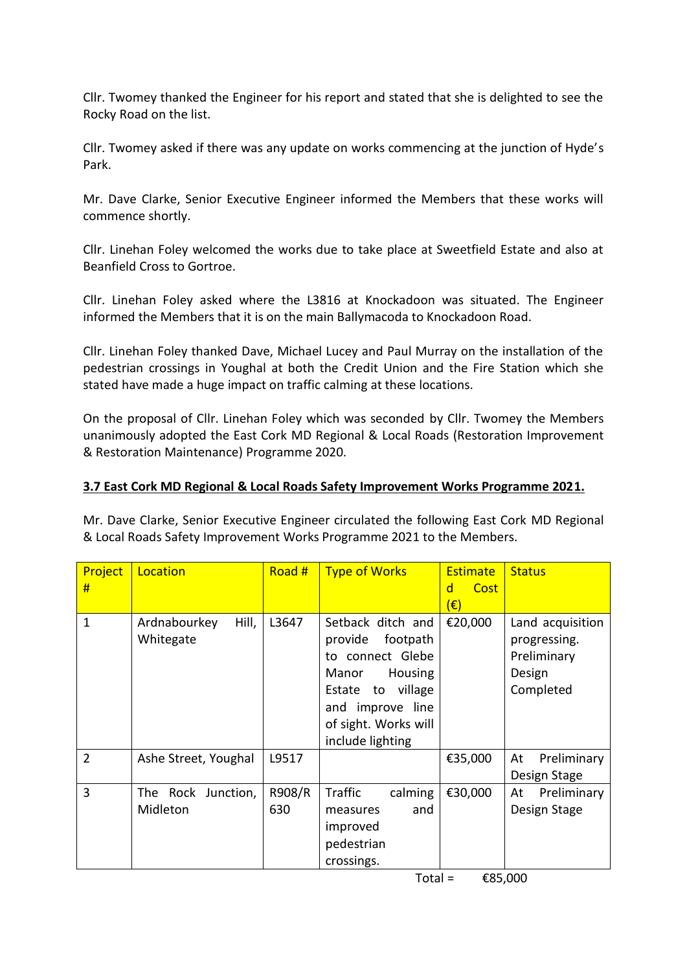Cllr. Twomey thanked the Engineer for his report and stated that she is delighted to see the Rocky Road on the list.

Cllr. Twomey asked if there was any update on works commencing at the junction of Hyde's Park.

Mr. Dave Clarke, Senior Executive Engineer informed the Members that these works will commence shortly.

Cllr. Linehan Foley welcomed the works due to take place at Sweetfield Estate and also at Beanfield Cross to Gortroe.

Cllr. Linehan Foley asked where the L3816 at Knockadoon was situated. The Engineer informed the Members that it is on the main Ballymacoda to Knockadoon Road.

Cllr. Linehan Foley thanked Dave, Michael Lucey and Paul Murray on the installation of the pedestrian crossings in Youghal at both the Credit Union and the Fire Station which she stated have made a huge impact on traffic calming at these locations.

On the proposal of Cllr. Linehan Foley which was seconded by Cllr. Twomey the Members unanimously adopted the East Cork MD Regional & Local Roads (Restoration Improvement & Restoration Maintenance) Programme 2020.

# **3.7 East Cork MD Regional & Local Roads Safety Improvement Works Programme 2021.**

Mr. Dave Clarke, Senior Executive Engineer circulated the following East Cork MD Regional & Local Roads Safety Improvement Works Programme 2021 to the Members.

| Project<br>#   | Location                           | Road #        | <b>Type of Works</b>                                                                                                                                                  | <b>Estimate</b><br>Cost<br>d<br>$(\widehat{\epsilon})$ | <b>Status</b>                                                          |
|----------------|------------------------------------|---------------|-----------------------------------------------------------------------------------------------------------------------------------------------------------------------|--------------------------------------------------------|------------------------------------------------------------------------|
| 1              | Hill,<br>Ardnabourkey<br>Whitegate | L3647         | Setback ditch and<br>provide footpath<br>to connect Glebe<br>Manor<br>Housing<br>to village<br>Estate<br>and improve line<br>of sight. Works will<br>include lighting | €20,000                                                | Land acquisition<br>progressing.<br>Preliminary<br>Design<br>Completed |
| $\overline{2}$ | Ashe Street, Youghal               | L9517         |                                                                                                                                                                       | €35,000                                                | Preliminary<br>At<br>Design Stage                                      |
| 3              | The Rock Junction,<br>Midleton     | R908/R<br>630 | Traffic<br>calming<br>and<br>measures<br>improved<br>pedestrian<br>crossings.                                                                                         | €30,000                                                | Preliminary<br>At<br>Design Stage                                      |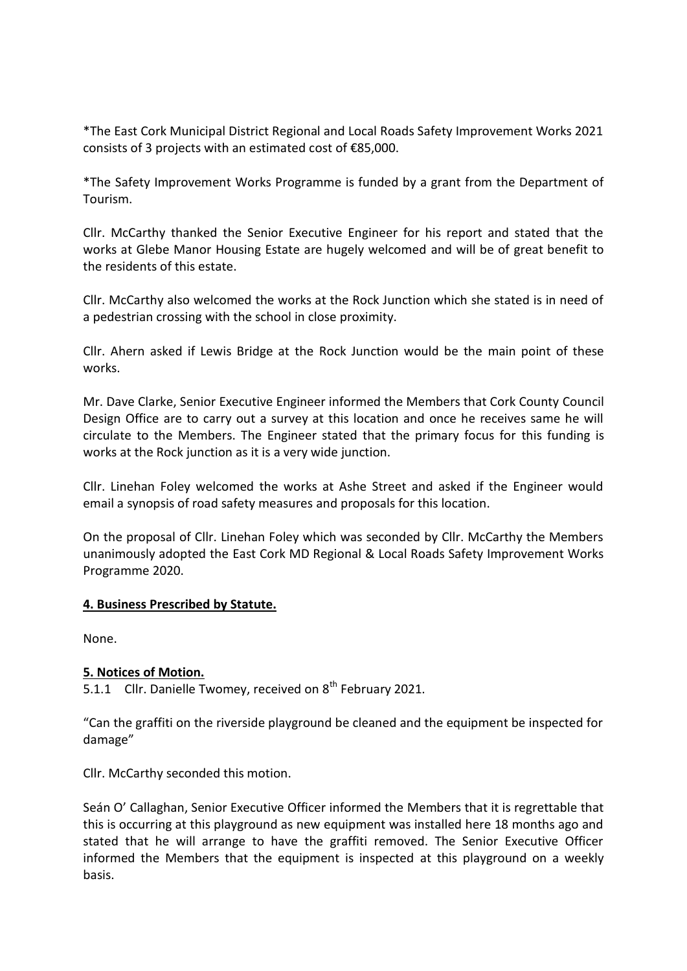\*The East Cork Municipal District Regional and Local Roads Safety Improvement Works 2021 consists of 3 projects with an estimated cost of €85,000.

\*The Safety Improvement Works Programme is funded by a grant from the Department of Tourism.

Cllr. McCarthy thanked the Senior Executive Engineer for his report and stated that the works at Glebe Manor Housing Estate are hugely welcomed and will be of great benefit to the residents of this estate.

Cllr. McCarthy also welcomed the works at the Rock Junction which she stated is in need of a pedestrian crossing with the school in close proximity.

Cllr. Ahern asked if Lewis Bridge at the Rock Junction would be the main point of these works.

Mr. Dave Clarke, Senior Executive Engineer informed the Members that Cork County Council Design Office are to carry out a survey at this location and once he receives same he will circulate to the Members. The Engineer stated that the primary focus for this funding is works at the Rock junction as it is a very wide junction.

Cllr. Linehan Foley welcomed the works at Ashe Street and asked if the Engineer would email a synopsis of road safety measures and proposals for this location.

On the proposal of Cllr. Linehan Foley which was seconded by Cllr. McCarthy the Members unanimously adopted the East Cork MD Regional & Local Roads Safety Improvement Works Programme 2020.

#### **4. Business Prescribed by Statute.**

None.

# **5. Notices of Motion.**

5.1.1 Cllr. Danielle Twomey, received on  $8<sup>th</sup>$  February 2021.

"Can the graffiti on the riverside playground be cleaned and the equipment be inspected for damage"

Cllr. McCarthy seconded this motion.

Seán O' Callaghan, Senior Executive Officer informed the Members that it is regrettable that this is occurring at this playground as new equipment was installed here 18 months ago and stated that he will arrange to have the graffiti removed. The Senior Executive Officer informed the Members that the equipment is inspected at this playground on a weekly basis.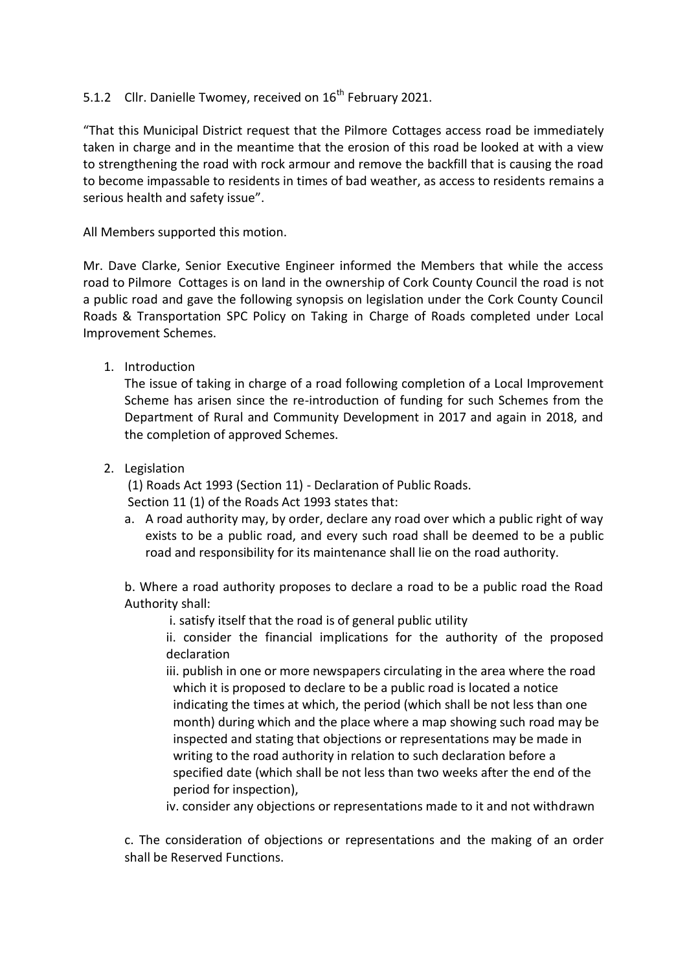# 5.1.2 Cllr. Danielle Twomey, received on 16<sup>th</sup> February 2021.

"That this Municipal District request that the Pilmore Cottages access road be immediately taken in charge and in the meantime that the erosion of this road be looked at with a view to strengthening the road with rock armour and remove the backfill that is causing the road to become impassable to residents in times of bad weather, as access to residents remains a serious health and safety issue".

All Members supported this motion.

Mr. Dave Clarke, Senior Executive Engineer informed the Members that while the access road to Pilmore Cottages is on land in the ownership of Cork County Council the road is not a public road and gave the following synopsis on legislation under the Cork County Council Roads & Transportation SPC Policy on Taking in Charge of Roads completed under Local Improvement Schemes.

1. Introduction

The issue of taking in charge of a road following completion of a Local Improvement Scheme has arisen since the re-introduction of funding for such Schemes from the Department of Rural and Community Development in 2017 and again in 2018, and the completion of approved Schemes.

2. Legislation

(1) Roads Act 1993 (Section 11) - Declaration of Public Roads.

Section 11 (1) of the Roads Act 1993 states that:

a. A road authority may, by order, declare any road over which a public right of way exists to be a public road, and every such road shall be deemed to be a public road and responsibility for its maintenance shall lie on the road authority.

b. Where a road authority proposes to declare a road to be a public road the Road Authority shall:

i. satisfy itself that the road is of general public utility

ii. consider the financial implications for the authority of the proposed declaration

iii. publish in one or more newspapers circulating in the area where the road which it is proposed to declare to be a public road is located a notice indicating the times at which, the period (which shall be not less than one month) during which and the place where a map showing such road may be inspected and stating that objections or representations may be made in writing to the road authority in relation to such declaration before a specified date (which shall be not less than two weeks after the end of the period for inspection),

iv. consider any objections or representations made to it and not withdrawn

c. The consideration of objections or representations and the making of an order shall be Reserved Functions.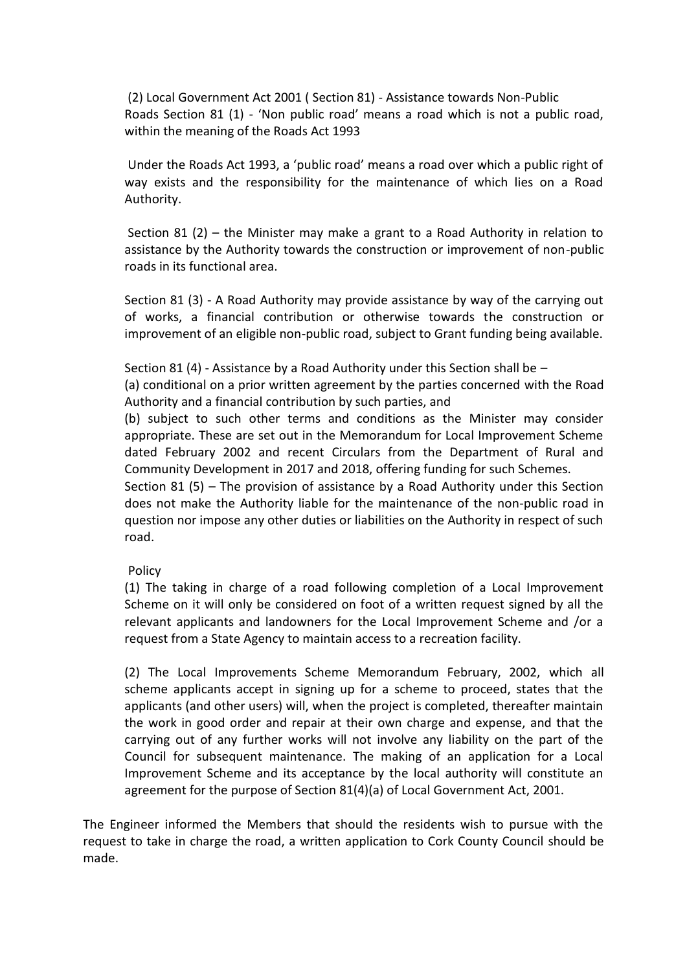(2) Local Government Act 2001 ( Section 81) - Assistance towards Non-Public Roads Section 81 (1) - 'Non public road' means a road which is not a public road, within the meaning of the Roads Act 1993

Under the Roads Act 1993, a 'public road' means a road over which a public right of way exists and the responsibility for the maintenance of which lies on a Road Authority.

Section 81 (2) – the Minister may make a grant to a Road Authority in relation to assistance by the Authority towards the construction or improvement of non-public roads in its functional area.

Section 81 (3) - A Road Authority may provide assistance by way of the carrying out of works, a financial contribution or otherwise towards the construction or improvement of an eligible non-public road, subject to Grant funding being available.

Section 81 (4) - Assistance by a Road Authority under this Section shall be –

(a) conditional on a prior written agreement by the parties concerned with the Road Authority and a financial contribution by such parties, and

(b) subject to such other terms and conditions as the Minister may consider appropriate. These are set out in the Memorandum for Local Improvement Scheme dated February 2002 and recent Circulars from the Department of Rural and Community Development in 2017 and 2018, offering funding for such Schemes.

Section 81 (5) – The provision of assistance by a Road Authority under this Section does not make the Authority liable for the maintenance of the non-public road in question nor impose any other duties or liabilities on the Authority in respect of such road.

#### Policy

(1) The taking in charge of a road following completion of a Local Improvement Scheme on it will only be considered on foot of a written request signed by all the relevant applicants and landowners for the Local Improvement Scheme and /or a request from a State Agency to maintain access to a recreation facility.

(2) The Local Improvements Scheme Memorandum February, 2002, which all scheme applicants accept in signing up for a scheme to proceed, states that the applicants (and other users) will, when the project is completed, thereafter maintain the work in good order and repair at their own charge and expense, and that the carrying out of any further works will not involve any liability on the part of the Council for subsequent maintenance. The making of an application for a Local Improvement Scheme and its acceptance by the local authority will constitute an agreement for the purpose of Section 81(4)(a) of Local Government Act, 2001.

The Engineer informed the Members that should the residents wish to pursue with the request to take in charge the road, a written application to Cork County Council should be made.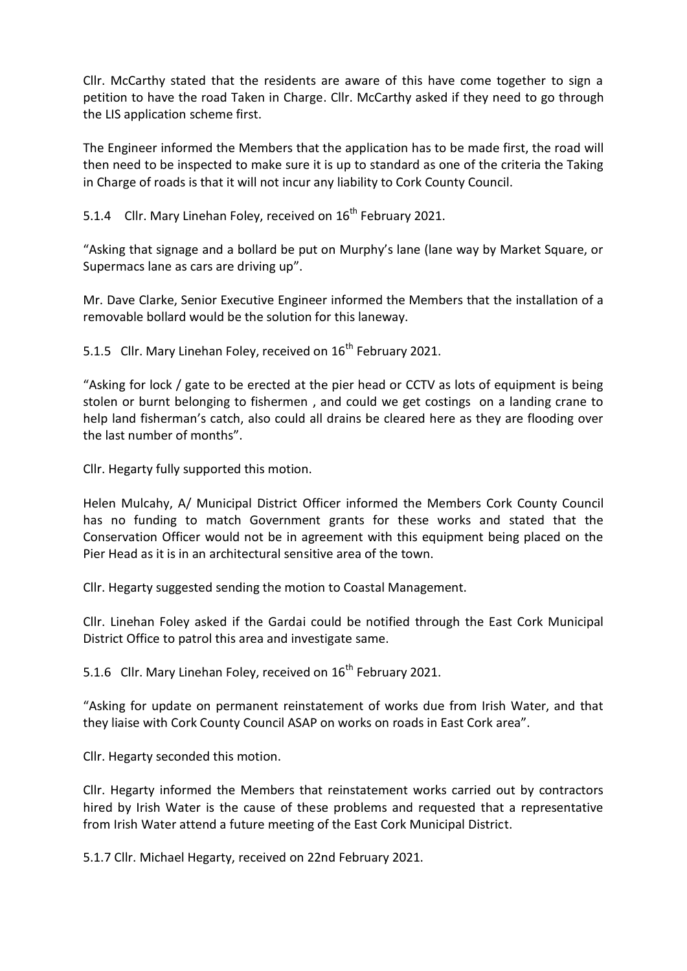Cllr. McCarthy stated that the residents are aware of this have come together to sign a petition to have the road Taken in Charge. Cllr. McCarthy asked if they need to go through the LIS application scheme first.

The Engineer informed the Members that the application has to be made first, the road will then need to be inspected to make sure it is up to standard as one of the criteria the Taking in Charge of roads is that it will not incur any liability to Cork County Council.

5.1.4 Cllr. Mary Linehan Foley, received on 16<sup>th</sup> February 2021.

"Asking that signage and a bollard be put on Murphy's lane (lane way by Market Square, or Supermacs lane as cars are driving up".

Mr. Dave Clarke, Senior Executive Engineer informed the Members that the installation of a removable bollard would be the solution for this laneway.

5.1.5 Cllr. Mary Linehan Foley, received on 16<sup>th</sup> February 2021.

"Asking for lock / gate to be erected at the pier head or CCTV as lots of equipment is being stolen or burnt belonging to fishermen , and could we get costings on a landing crane to help land fisherman's catch, also could all drains be cleared here as they are flooding over the last number of months".

Cllr. Hegarty fully supported this motion.

Helen Mulcahy, A/ Municipal District Officer informed the Members Cork County Council has no funding to match Government grants for these works and stated that the Conservation Officer would not be in agreement with this equipment being placed on the Pier Head as it is in an architectural sensitive area of the town.

Cllr. Hegarty suggested sending the motion to Coastal Management.

Cllr. Linehan Foley asked if the Gardai could be notified through the East Cork Municipal District Office to patrol this area and investigate same.

5.1.6 Cllr. Mary Linehan Foley, received on 16<sup>th</sup> February 2021.

"Asking for update on permanent reinstatement of works due from Irish Water, and that they liaise with Cork County Council ASAP on works on roads in East Cork area".

Cllr. Hegarty seconded this motion.

Cllr. Hegarty informed the Members that reinstatement works carried out by contractors hired by Irish Water is the cause of these problems and requested that a representative from Irish Water attend a future meeting of the East Cork Municipal District.

5.1.7 Cllr. Michael Hegarty, received on 22nd February 2021.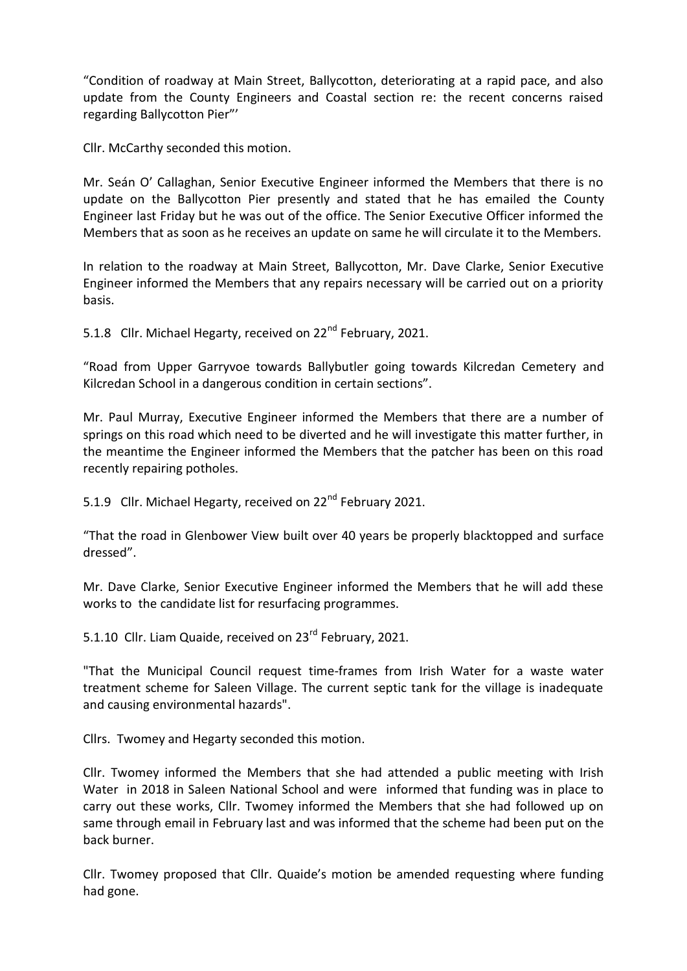"Condition of roadway at Main Street, Ballycotton, deteriorating at a rapid pace, and also update from the County Engineers and Coastal section re: the recent concerns raised regarding Ballycotton Pier"'

Cllr. McCarthy seconded this motion.

Mr. Seán O' Callaghan, Senior Executive Engineer informed the Members that there is no update on the Ballycotton Pier presently and stated that he has emailed the County Engineer last Friday but he was out of the office. The Senior Executive Officer informed the Members that as soon as he receives an update on same he will circulate it to the Members.

In relation to the roadway at Main Street, Ballycotton, Mr. Dave Clarke, Senior Executive Engineer informed the Members that any repairs necessary will be carried out on a priority basis.

5.1.8 Cllr. Michael Hegarty, received on 22<sup>nd</sup> February, 2021.

"Road from Upper Garryvoe towards Ballybutler going towards Kilcredan Cemetery and Kilcredan School in a dangerous condition in certain sections".

Mr. Paul Murray, Executive Engineer informed the Members that there are a number of springs on this road which need to be diverted and he will investigate this matter further, in the meantime the Engineer informed the Members that the patcher has been on this road recently repairing potholes.

5.1.9 Cllr. Michael Hegarty, received on 22<sup>nd</sup> February 2021.

"That the road in Glenbower View built over 40 years be properly blacktopped and surface dressed".

Mr. Dave Clarke, Senior Executive Engineer informed the Members that he will add these works to the candidate list for resurfacing programmes.

5.1.10 Cllr. Liam Quaide, received on 23<sup>rd</sup> February, 2021.

"That the Municipal Council request time-frames from Irish Water for a waste water treatment scheme for Saleen Village. The current septic tank for the village is inadequate and causing environmental hazards".

Cllrs. Twomey and Hegarty seconded this motion.

Cllr. Twomey informed the Members that she had attended a public meeting with Irish Water in 2018 in Saleen National School and were informed that funding was in place to carry out these works, Cllr. Twomey informed the Members that she had followed up on same through email in February last and was informed that the scheme had been put on the back burner.

Cllr. Twomey proposed that Cllr. Quaide's motion be amended requesting where funding had gone.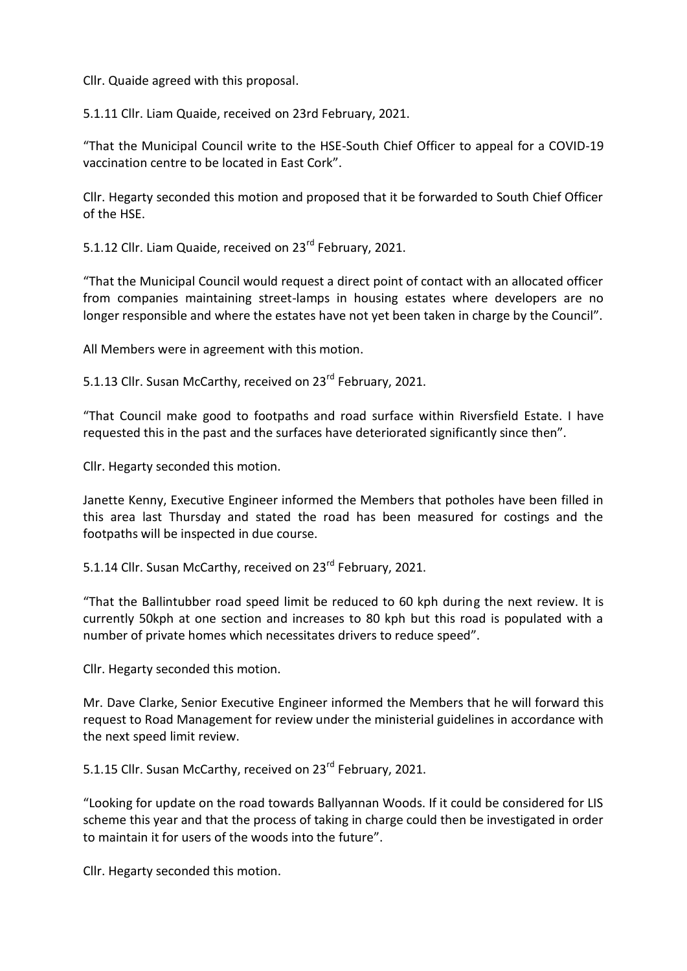Cllr. Quaide agreed with this proposal.

5.1.11 Cllr. Liam Quaide, received on 23rd February, 2021.

"That the Municipal Council write to the HSE-South Chief Officer to appeal for a COVID-19 vaccination centre to be located in East Cork".

Cllr. Hegarty seconded this motion and proposed that it be forwarded to South Chief Officer of the HSE.

5.1.12 Cllr. Liam Quaide, received on 23<sup>rd</sup> February, 2021.

"That the Municipal Council would request a direct point of contact with an allocated officer from companies maintaining street-lamps in housing estates where developers are no longer responsible and where the estates have not yet been taken in charge by the Council".

All Members were in agreement with this motion.

5.1.13 Cllr. Susan McCarthy, received on 23<sup>rd</sup> February, 2021.

"That Council make good to footpaths and road surface within Riversfield Estate. I have requested this in the past and the surfaces have deteriorated significantly since then".

Cllr. Hegarty seconded this motion.

Janette Kenny, Executive Engineer informed the Members that potholes have been filled in this area last Thursday and stated the road has been measured for costings and the footpaths will be inspected in due course.

5.1.14 Cllr. Susan McCarthy, received on 23<sup>rd</sup> February, 2021.

"That the Ballintubber road speed limit be reduced to 60 kph during the next review. It is currently 50kph at one section and increases to 80 kph but this road is populated with a number of private homes which necessitates drivers to reduce speed".

Cllr. Hegarty seconded this motion.

Mr. Dave Clarke, Senior Executive Engineer informed the Members that he will forward this request to Road Management for review under the ministerial guidelines in accordance with the next speed limit review.

5.1.15 Cllr. Susan McCarthy, received on 23<sup>rd</sup> February, 2021.

"Looking for update on the road towards Ballyannan Woods. If it could be considered for LIS scheme this year and that the process of taking in charge could then be investigated in order to maintain it for users of the woods into the future".

Cllr. Hegarty seconded this motion.